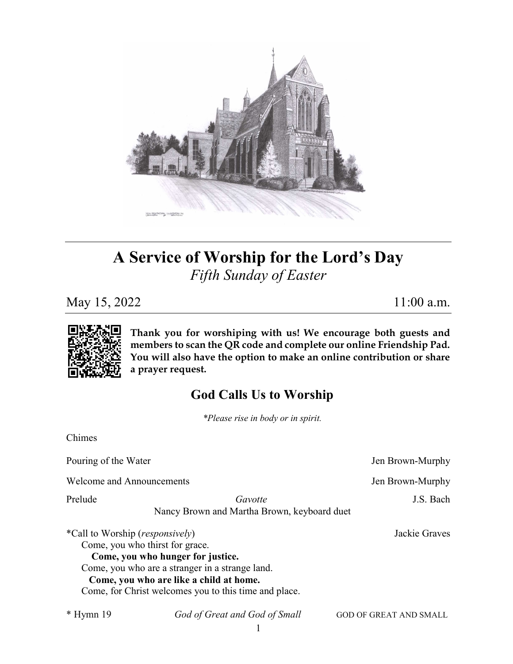

# A Service of Worship for the Lord's Day Fifth Sunday of Easter

May 15, 2022 11:00 a.m.



Chimes

Thank you for worshiping with us! We encourage both guests and members to scan the QR code and complete our online Friendship Pad. You will also have the option to make an online contribution or share a prayer request.

## God Calls Us to Worship

\*Please rise in body or in spirit.

| Pouring of the Water                     |                                                                                                                                                                                                                             | Jen Brown-Murphy              |
|------------------------------------------|-----------------------------------------------------------------------------------------------------------------------------------------------------------------------------------------------------------------------------|-------------------------------|
| <b>Welcome and Announcements</b>         |                                                                                                                                                                                                                             | Jen Brown-Murphy              |
| Prelude                                  | Gavotte<br>Nancy Brown and Martha Brown, keyboard duet                                                                                                                                                                      | J.S. Bach                     |
| *Call to Worship ( <i>responsively</i> ) | Come, you who thirst for grace.<br>Come, you who hunger for justice.<br>Come, you who are a stranger in a strange land.<br>Come, you who are like a child at home.<br>Come, for Christ welcomes you to this time and place. | Jackie Graves                 |
| $*$ Hymn 19                              | God of Great and God of Small                                                                                                                                                                                               | <b>GOD OF GREAT AND SMALL</b> |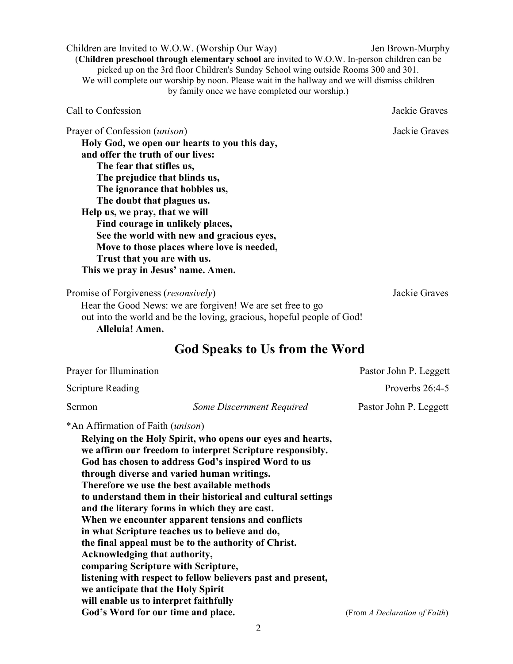2

Children are Invited to W.O.W. (Worship Our Way) Jen Brown-Murphy (Children preschool through elementary school are invited to W.O.W. In-person children can be picked up on the 3rd floor Children's Sunday School wing outside Rooms 300 and 301. We will complete our worship by noon. Please wait in the hallway and we will dismiss children by family once we have completed our worship.)

Prayer of Confession (*unison*) Sackie Graves Holy God, we open our hearts to you this day, and offer the truth of our lives: The fear that stifles us, The prejudice that blinds us, The ignorance that hobbles us, The doubt that plagues us. Help us, we pray, that we will Find courage in unlikely places,

See the world with new and gracious eyes, Move to those places where love is needed, Trust that you are with us.

This we pray in Jesus' name. Amen.

Promise of Forgiveness (*resonsively*) Jackie Graves

 Hear the Good News: we are forgiven! We are set free to go out into the world and be the loving, gracious, hopeful people of God! Alleluia! Amen.

## God Speaks to Us from the Word

| Prayer for Illumination                                                                                  |                                                           | Pastor John P. Leggett |  |  |
|----------------------------------------------------------------------------------------------------------|-----------------------------------------------------------|------------------------|--|--|
| Scripture Reading                                                                                        |                                                           | Proverbs $26:4-5$      |  |  |
| <b>Sermon</b>                                                                                            | Some Discernment Required                                 | Pastor John P. Leggett |  |  |
| *An Affirmation of Faith ( <i>unison</i> )<br>Relying on the Holy Spirit, who opens our eyes and hearts, |                                                           |                        |  |  |
|                                                                                                          | we affirm our freedom to interpret Scripture responsibly. |                        |  |  |

God has chosen to address God's inspired Word to us through diverse and varied human writings. Therefore we use the best available methods to understand them in their historical and cultural settings and the literary forms in which they are cast. When we encounter apparent tensions and conflicts in what Scripture teaches us to believe and do, the final appeal must be to the authority of Christ. Acknowledging that authority, comparing Scripture with Scripture, listening with respect to fellow believers past and present, we anticipate that the Holy Spirit will enable us to interpret faithfully God's Word for our time and place. (From A Declaration of Faith)

Call to Confession Jackie Graves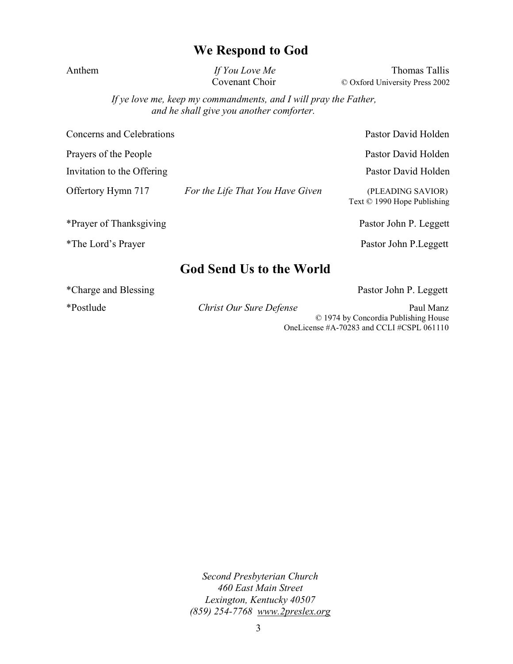#### We Respond to God

Anthem If You Love Me Thomas Tallis Covenant Choir © Oxford University Press 2002

> If ye love me, keep my commandments, and I will pray the Father, and he shall give you another comforter.

Concerns and Celebrations **Pastor David Holden** 

Prayers of the People Pastor David Holden

Invitation to the Offering Pastor David Holden

Offertory Hymn 717 For the Life That You Have Given (PLEADING SAVIOR)

\*Prayer of Thanksgiving extending the Pastor John P. Leggett

\*The Lord's Prayer Pastor John P.Leggett

#### God Send Us to the World

\*Charge and Blessing Pastor John P. Leggett

Text © 1990 Hope Publishing

\*Postlude **Christ Our Sure Defense** Paul Manz © 1974 by Concordia Publishing House OneLicense #A-70283 and CCLI #CSPL 061110

> Second Presbyterian Church 460 East Main Street Lexington, Kentucky 40507 (859) 254-7768 www.2preslex.org